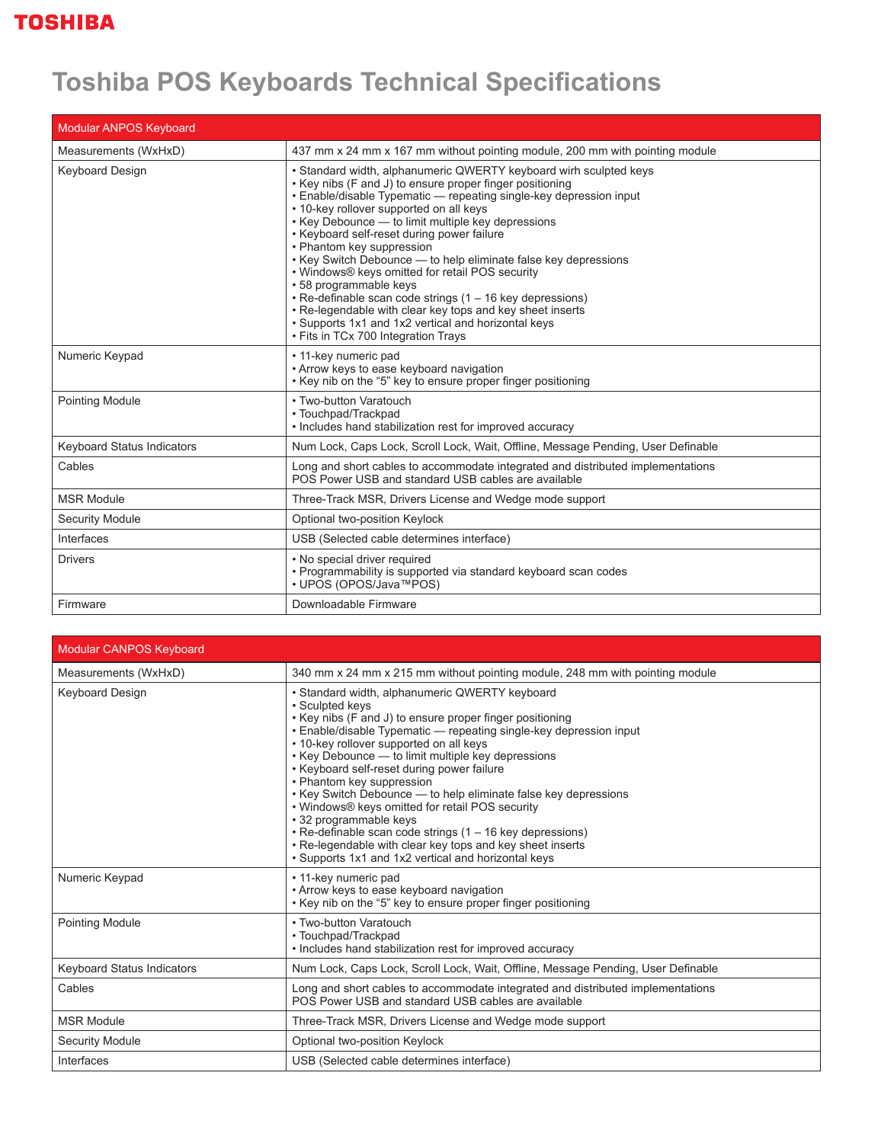## **Toshiba POS Keyboards Technical Specifications**

| <b>Modular ANPOS Keyboard</b> |                                                                                                                                                                                                                                                                                                                                                                                                                                                                                                                                                                                                                                                                                                                                                         |  |
|-------------------------------|---------------------------------------------------------------------------------------------------------------------------------------------------------------------------------------------------------------------------------------------------------------------------------------------------------------------------------------------------------------------------------------------------------------------------------------------------------------------------------------------------------------------------------------------------------------------------------------------------------------------------------------------------------------------------------------------------------------------------------------------------------|--|
| Measurements (WxHxD)          | 437 mm x 24 mm x 167 mm without pointing module, 200 mm with pointing module                                                                                                                                                                                                                                                                                                                                                                                                                                                                                                                                                                                                                                                                            |  |
| <b>Keyboard Design</b>        | • Standard width, alphanumeric QWERTY keyboard wirh sculpted keys<br>• Key nibs (F and J) to ensure proper finger positioning<br>• Enable/disable Typematic — repeating single-key depression input<br>• 10-key rollover supported on all keys<br>• Key Debounce - to limit multiple key depressions<br>• Keyboard self-reset during power failure<br>• Phantom key suppression<br>• Key Switch Debounce - to help eliminate false key depressions<br>• Windows® keys omitted for retail POS security<br>• 58 programmable keys<br>• Re-definable scan code strings (1 - 16 key depressions)<br>• Re-legendable with clear key tops and key sheet inserts<br>• Supports 1x1 and 1x2 vertical and horizontal keys<br>• Fits in TCx 700 Integration Trays |  |
| Numeric Keypad                | • 11-key numeric pad<br>• Arrow keys to ease keyboard navigation<br>• Key nib on the "5" key to ensure proper finger positioning                                                                                                                                                                                                                                                                                                                                                                                                                                                                                                                                                                                                                        |  |
| Pointing Module               | • Two-button Varatouch<br>• Touchpad/Trackpad<br>• Includes hand stabilization rest for improved accuracy                                                                                                                                                                                                                                                                                                                                                                                                                                                                                                                                                                                                                                               |  |
| Keyboard Status Indicators    | Num Lock, Caps Lock, Scroll Lock, Wait, Offline, Message Pending, User Definable                                                                                                                                                                                                                                                                                                                                                                                                                                                                                                                                                                                                                                                                        |  |
| Cables                        | Long and short cables to accommodate integrated and distributed implementations<br>POS Power USB and standard USB cables are available                                                                                                                                                                                                                                                                                                                                                                                                                                                                                                                                                                                                                  |  |
| <b>MSR Module</b>             | Three-Track MSR, Drivers License and Wedge mode support                                                                                                                                                                                                                                                                                                                                                                                                                                                                                                                                                                                                                                                                                                 |  |
| <b>Security Module</b>        | Optional two-position Keylock                                                                                                                                                                                                                                                                                                                                                                                                                                                                                                                                                                                                                                                                                                                           |  |
| Interfaces                    | USB (Selected cable determines interface)                                                                                                                                                                                                                                                                                                                                                                                                                                                                                                                                                                                                                                                                                                               |  |
| <b>Drivers</b>                | • No special driver required<br>• Programmability is supported via standard keyboard scan codes<br>• UPOS (OPOS/Java™POS)                                                                                                                                                                                                                                                                                                                                                                                                                                                                                                                                                                                                                               |  |
| Firmware                      | Downloadable Firmware                                                                                                                                                                                                                                                                                                                                                                                                                                                                                                                                                                                                                                                                                                                                   |  |

| <b>Modular CANPOS Keyboard</b>    |                                                                                                                                                                                                                                                                                                                                                                                                                                                                                                                                                                                                                                                                                                                  |  |
|-----------------------------------|------------------------------------------------------------------------------------------------------------------------------------------------------------------------------------------------------------------------------------------------------------------------------------------------------------------------------------------------------------------------------------------------------------------------------------------------------------------------------------------------------------------------------------------------------------------------------------------------------------------------------------------------------------------------------------------------------------------|--|
| Measurements (WxHxD)              | 340 mm x 24 mm x 215 mm without pointing module, 248 mm with pointing module                                                                                                                                                                                                                                                                                                                                                                                                                                                                                                                                                                                                                                     |  |
| <b>Keyboard Design</b>            | • Standard width, alphanumeric QWERTY keyboard<br>• Sculpted keys<br>• Key nibs (F and J) to ensure proper finger positioning<br>· Enable/disable Typematic - repeating single-key depression input<br>• 10-key rollover supported on all keys<br>• Key Debounce - to limit multiple key depressions<br>• Keyboard self-reset during power failure<br>• Phantom key suppression<br>• Key Switch Debounce - to help eliminate false key depressions<br>• Windows® keys omitted for retail POS security<br>• 32 programmable keys<br>• Re-definable scan code strings (1 - 16 key depressions)<br>• Re-legendable with clear key tops and key sheet inserts<br>• Supports 1x1 and 1x2 vertical and horizontal keys |  |
| Numeric Keypad                    | • 11-key numeric pad<br>• Arrow keys to ease keyboard navigation<br>• Key nib on the "5" key to ensure proper finger positioning                                                                                                                                                                                                                                                                                                                                                                                                                                                                                                                                                                                 |  |
| <b>Pointing Module</b>            | • Two-button Varatouch<br>• Touchpad/Trackpad<br>• Includes hand stabilization rest for improved accuracy                                                                                                                                                                                                                                                                                                                                                                                                                                                                                                                                                                                                        |  |
| <b>Keyboard Status Indicators</b> | Num Lock, Caps Lock, Scroll Lock, Wait, Offline, Message Pending, User Definable                                                                                                                                                                                                                                                                                                                                                                                                                                                                                                                                                                                                                                 |  |
| Cables                            | Long and short cables to accommodate integrated and distributed implementations<br>POS Power USB and standard USB cables are available                                                                                                                                                                                                                                                                                                                                                                                                                                                                                                                                                                           |  |
| <b>MSR Module</b>                 | Three-Track MSR, Drivers License and Wedge mode support                                                                                                                                                                                                                                                                                                                                                                                                                                                                                                                                                                                                                                                          |  |
| <b>Security Module</b>            | Optional two-position Keylock                                                                                                                                                                                                                                                                                                                                                                                                                                                                                                                                                                                                                                                                                    |  |
| Interfaces                        | USB (Selected cable determines interface)                                                                                                                                                                                                                                                                                                                                                                                                                                                                                                                                                                                                                                                                        |  |